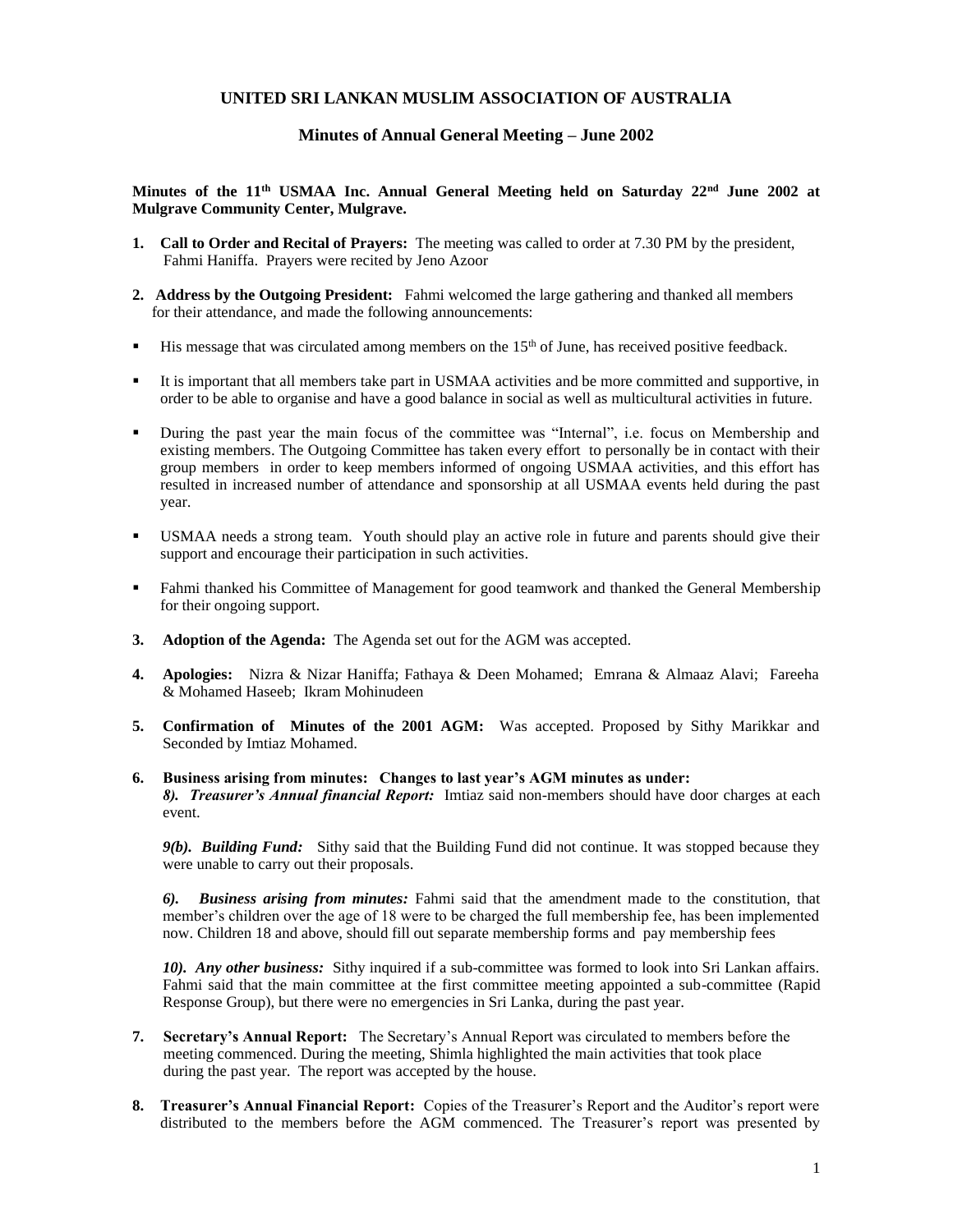# **UNITED SRI LANKAN MUSLIM ASSOCIATION OF AUSTRALIA**

## **Minutes of Annual General Meeting – June 2002**

## **Minutes of the 11th USMAA Inc. Annual General Meeting held on Saturday 22nd June 2002 at Mulgrave Community Center, Mulgrave.**

- **1. Call to Order and Recital of Prayers:** The meeting was called to order at 7.30 PM by the president, Fahmi Haniffa. Prayers were recited by Jeno Azoor
- **2. Address by the Outgoing President:** Fahmi welcomed the large gathering and thanked all members for their attendance, and made the following announcements:
- **EXECUTE:** His message that was circulated among members on the  $15<sup>th</sup>$  of June, has received positive feedback.
- It is important that all members take part in USMAA activities and be more committed and supportive, in order to be able to organise and have a good balance in social as well as multicultural activities in future.
- During the past year the main focus of the committee was "Internal", i.e. focus on Membership and existing members. The Outgoing Committee has taken every effort to personally be in contact with their group members in order to keep members informed of ongoing USMAA activities, and this effort has resulted in increased number of attendance and sponsorship at all USMAA events held during the past year.
- USMAA needs a strong team. Youth should play an active role in future and parents should give their support and encourage their participation in such activities.
- Fahmi thanked his Committee of Management for good teamwork and thanked the General Membership for their ongoing support.
- **3. Adoption of the Agenda:** The Agenda set out for the AGM was accepted.
- **4. Apologies:** Nizra & Nizar Haniffa; Fathaya & Deen Mohamed; Emrana & Almaaz Alavi; Fareeha & Mohamed Haseeb; Ikram Mohinudeen
- **5. Confirmation of Minutes of the 2001 AGM:** Was accepted. Proposed by Sithy Marikkar and Seconded by Imtiaz Mohamed.

#### **6. Business arising from minutes: Changes to last year's AGM minutes as under:**

*8). Treasurer's Annual financial Report:* Imtiaz said non-members should have door charges at each event.

*9(b). Building Fund:* Sithy said that the Building Fund did not continue. It was stopped because they were unable to carry out their proposals.

*6). Business arising from minutes:* Fahmi said that the amendment made to the constitution, that member's children over the age of 18 were to be charged the full membership fee, has been implemented now. Children 18 and above, should fill out separate membership forms and pay membership fees

*10). Any other business:* Sithy inquired if a sub-committee was formed to look into Sri Lankan affairs. Fahmi said that the main committee at the first committee meeting appointed a sub-committee (Rapid Response Group), but there were no emergencies in Sri Lanka, during the past year.

- **7. Secretary's Annual Report:** The Secretary's Annual Report was circulated to members before the meeting commenced. During the meeting, Shimla highlighted the main activities that took place during the past year. The report was accepted by the house.
- **8. Treasurer's Annual Financial Report:** Copies of the Treasurer's Report and the Auditor's report were distributed to the members before the AGM commenced. The Treasurer's report was presented by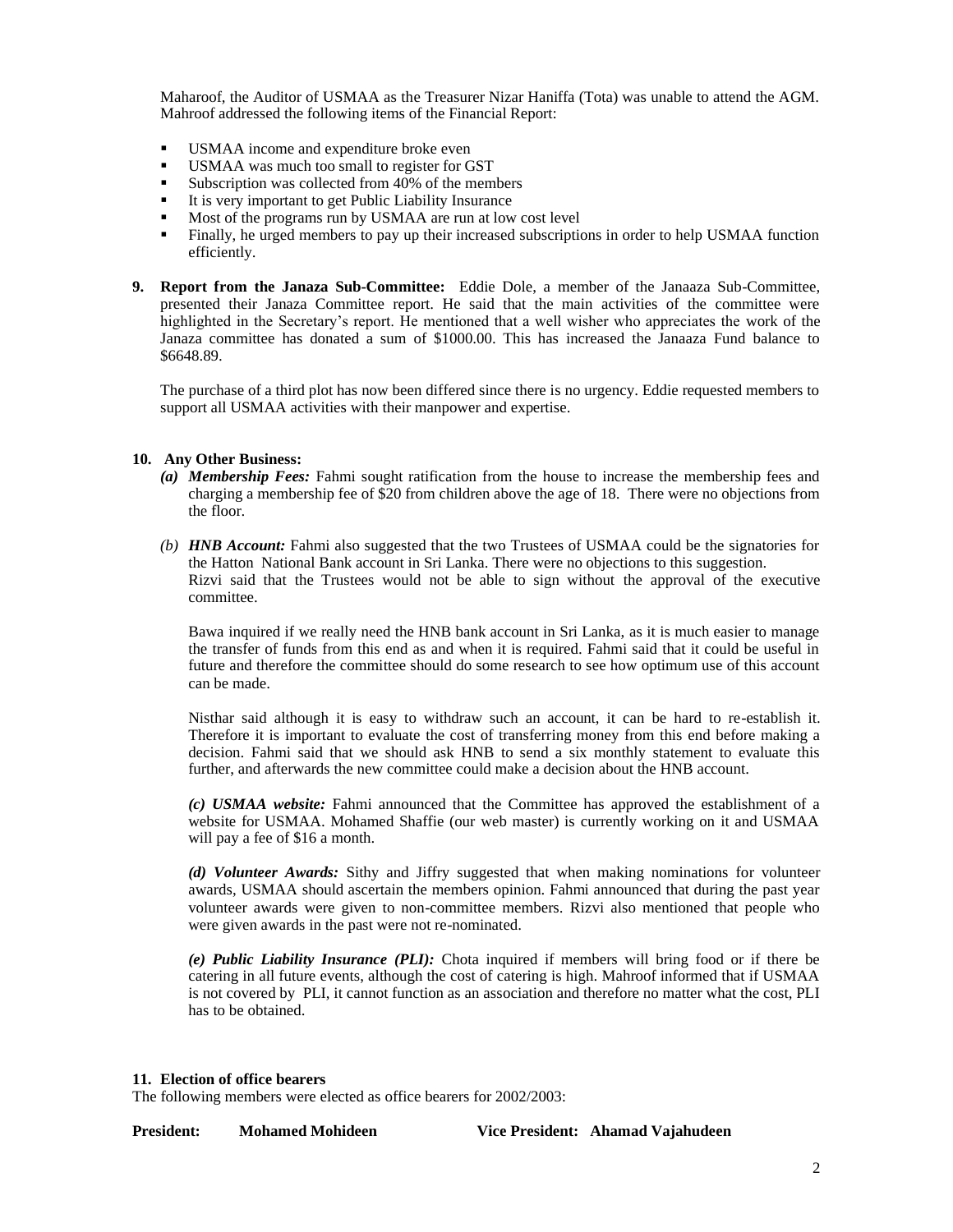Maharoof, the Auditor of USMAA as the Treasurer Nizar Haniffa (Tota) was unable to attend the AGM. Mahroof addressed the following items of the Financial Report:

- USMAA income and expenditure broke even
- **•** USMAA was much too small to register for GST
- Subscription was collected from  $40\%$  of the members
- It is very important to get Public Liability Insurance
- Most of the programs run by USMAA are run at low cost level
- Finally, he urged members to pay up their increased subscriptions in order to help USMAA function efficiently.
- **9. Report from the Janaza Sub-Committee:** Eddie Dole, a member of the Janaaza Sub-Committee, presented their Janaza Committee report. He said that the main activities of the committee were highlighted in the Secretary's report. He mentioned that a well wisher who appreciates the work of the Janaza committee has donated a sum of \$1000.00. This has increased the Janaaza Fund balance to \$6648.89.

The purchase of a third plot has now been differed since there is no urgency. Eddie requested members to support all USMAA activities with their manpower and expertise.

## **10. Any Other Business:**

- *(a) Membership Fees:* Fahmi sought ratification from the house to increase the membership fees and charging a membership fee of \$20 from children above the age of 18. There were no objections from the floor.
- *(b) HNB Account:* Fahmi also suggested that the two Trustees of USMAA could be the signatories for the Hatton National Bank account in Sri Lanka. There were no objections to this suggestion. Rizvi said that the Trustees would not be able to sign without the approval of the executive committee.

Bawa inquired if we really need the HNB bank account in Sri Lanka, as it is much easier to manage the transfer of funds from this end as and when it is required. Fahmi said that it could be useful in future and therefore the committee should do some research to see how optimum use of this account can be made.

Nisthar said although it is easy to withdraw such an account, it can be hard to re-establish it. Therefore it is important to evaluate the cost of transferring money from this end before making a decision. Fahmi said that we should ask HNB to send a six monthly statement to evaluate this further, and afterwards the new committee could make a decision about the HNB account.

*(c) USMAA website:* Fahmi announced that the Committee has approved the establishment of a website for USMAA. Mohamed Shaffie (our web master) is currently working on it and USMAA will pay a fee of \$16 a month.

*(d) Volunteer Awards:* Sithy and Jiffry suggested that when making nominations for volunteer awards, USMAA should ascertain the members opinion. Fahmi announced that during the past year volunteer awards were given to non-committee members. Rizvi also mentioned that people who were given awards in the past were not re-nominated.

*(e) Public Liability Insurance (PLI):* Chota inquired if members will bring food or if there be catering in all future events, although the cost of catering is high. Mahroof informed that if USMAA is not covered by PLI, it cannot function as an association and therefore no matter what the cost, PLI has to be obtained.

### **11. Election of office bearers**

The following members were elected as office bearers for 2002/2003:

**President: Mohamed Mohideen Vice President: Ahamad Vajahudeen**